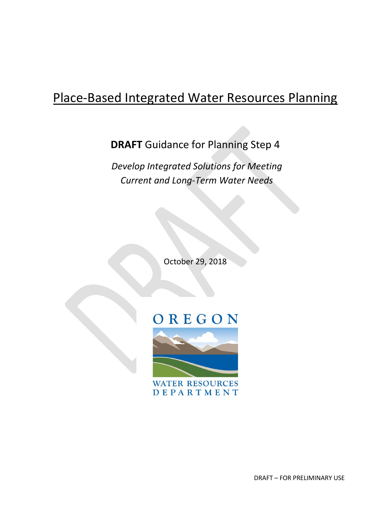# Place-Based Integrated Water Resources Planning

# **DRAFT** Guidance for Planning Step 4

*Develop Integrated Solutions for Meeting Current and Long-Term Water Needs*

October 29, 2018

# OREGON



DEPARTMENT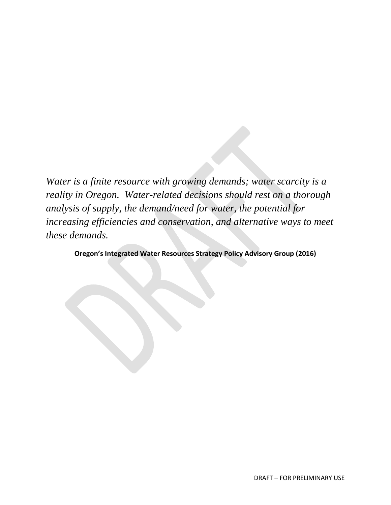*Water is a finite resource with growing demands; water scarcity is a reality in Oregon. Water-related decisions should rest on a thorough analysis of supply, the demand/need for water, the potential for increasing efficiencies and conservation, and alternative ways to meet these demands.*

**Oregon's Integrated Water Resources Strategy Policy Advisory Group (2016)**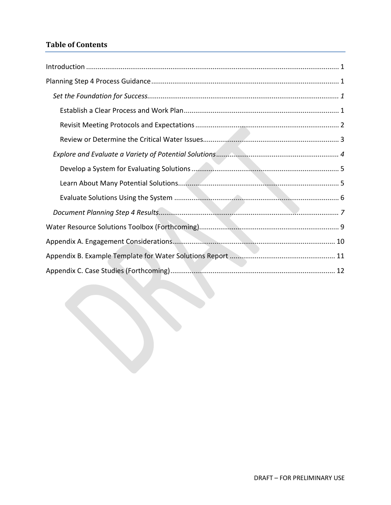## **Table of Contents**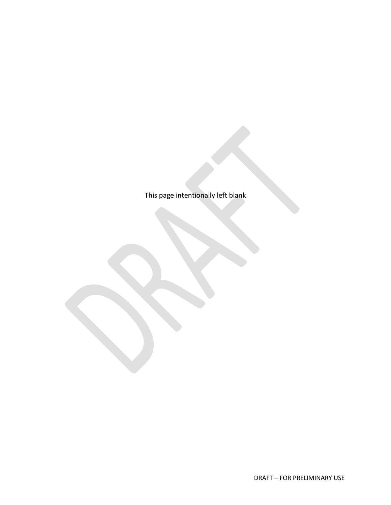This page intentionally left blank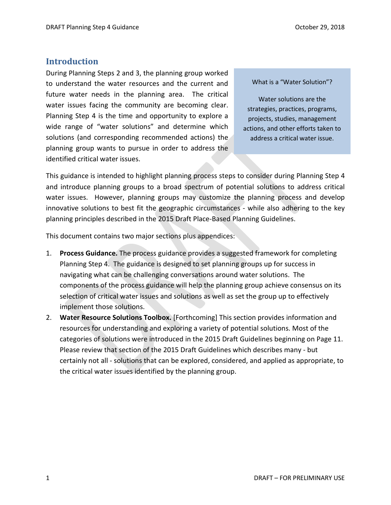## <span id="page-4-0"></span>**Introduction**

During Planning Steps 2 and 3, the planning group worked to understand the water resources and the current and future water needs in the planning area. The critical water issues facing the community are becoming clear. Planning Step 4 is the time and opportunity to explore a wide range of "water solutions" and determine which solutions (and corresponding recommended actions) the planning group wants to pursue in order to address the identified critical water issues.

What is a "Water Solution"?

Water solutions are the strategies, practices, programs, projects, studies, management actions, and other efforts taken to address a critical water issue.

This guidance is intended to highlight planning process steps to consider during Planning Step 4 and introduce planning groups to a broad spectrum of potential solutions to address critical water issues. However, planning groups may customize the planning process and develop innovative solutions to best fit the geographic circumstances - while also adhering to the key planning principles described in the 2015 Draft Place-Based Planning Guidelines.

This document contains two major sections plus appendices:

- 1. **Process Guidance.** The process guidance provides a suggested framework for completing Planning Step 4. The guidance is designed to set planning groups up for success in navigating what can be challenging conversations around water solutions. The components of the process guidance will help the planning group achieve consensus on its selection of critical water issues and solutions as well as set the group up to effectively implement those solutions.
- 2. **Water Resource Solutions Toolbox.** [Forthcoming] This section provides information and resources for understanding and exploring a variety of potential solutions. Most of the categories of solutions were introduced in the 2015 Draft Guidelines beginning on Page 11. Please review that section of the 2015 Draft Guidelines which describes many - but certainly not all - solutions that can be explored, considered, and applied as appropriate, to the critical water issues identified by the planning group.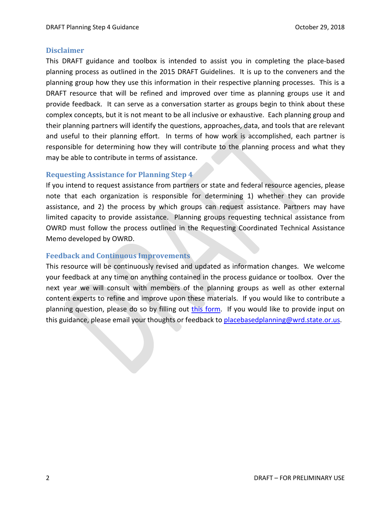#### **Disclaimer**

This DRAFT guidance and toolbox is intended to assist you in completing the place-based planning process as outlined in the 2015 DRAFT Guidelines. It is up to the conveners and the planning group how they use this information in their respective planning processes. This is a DRAFT resource that will be refined and improved over time as planning groups use it and provide feedback. It can serve as a conversation starter as groups begin to think about these complex concepts, but it is not meant to be all inclusive or exhaustive. Each planning group and their planning partners will identify the questions, approaches, data, and tools that are relevant and useful to their planning effort. In terms of how work is accomplished, each partner is responsible for determining how they will contribute to the planning process and what they may be able to contribute in terms of assistance.

#### **Requesting Assistance for Planning Step 4**

If you intend to request assistance from partners or state and federal resource agencies, please note that each organization is responsible for determining 1) whether they can provide assistance, and 2) the process by which groups can request assistance. Partners may have limited capacity to provide assistance. Planning groups requesting technical assistance from OWRD must follow the process outlined in the Requesting Coordinated Technical Assistance Memo developed by OWRD.

## **Feedback and Continuous Improvements**

This resource will be continuously revised and updated as information changes. We welcome your feedback at any time on anything contained in the process guidance or toolbox. Over the next year we will consult with members of the planning groups as well as other external content experts to refine and improve upon these materials. If you would like to contribute a planning question, please do so by filling out [this form.](https://docs.google.com/forms/d/e/1FAIpQLScDjg3bT7xj7SdXCpPGPCDIyTyidTJOxint_NleDs7ydwErNg/viewform) If you would like to provide input on this guidance, please email your thoughts or feedback to [placebasedplanning@wrd.state.or.us.](mailto:placebasedplanning@wrd.state.or.us)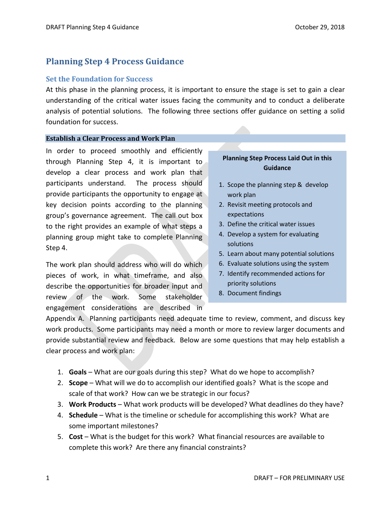# <span id="page-6-0"></span>**Planning Step 4 Process Guidance**

#### <span id="page-6-1"></span>**Set the Foundation for Success**

At this phase in the planning process, it is important to ensure the stage is set to gain a clear understanding of the critical water issues facing the community and to conduct a deliberate analysis of potential solutions. The following three sections offer guidance on setting a solid foundation for success.

#### <span id="page-6-2"></span>**Establish a Clear Process and Work Plan**

In order to proceed smoothly and efficiently through Planning Step 4, it is important to develop a clear process and work plan that participants understand. The process should provide participants the opportunity to engage at key decision points according to the planning group's governance agreement. The call out box to the right provides an example of what steps a planning group might take to complete Planning Step 4.

The work plan should address who will do which pieces of work, in what timeframe, and also describe the opportunities for broader input and review of the work. Some stakeholder engagement considerations are described in

## **Planning Step Process Laid Out in this Guidance**

- 1. Scope the planning step & develop work plan
- 2. Revisit meeting protocols and expectations
- 3. Define the critical water issues
- 4. Develop a system for evaluating solutions
- 5. Learn about many potential solutions
- 6. Evaluate solutions using the system
- 7. Identify recommended actions for priority solutions
- 8. Document findings

Appendix A. Planning participants need adequate time to review, comment, and discuss key work products. Some participants may need a month or more to review larger documents and provide substantial review and feedback. Below are some questions that may help establish a clear process and work plan:

- 1. **Goals** What are our goals during this step? What do we hope to accomplish?
- 2. **Scope** What will we do to accomplish our identified goals? What is the scope and scale of that work? How can we be strategic in our focus?
- 3. **Work Products** What work products will be developed? What deadlines do they have?
- 4. **Schedule** What is the timeline or schedule for accomplishing this work? What are some important milestones?
- 5. **Cost** What is the budget for this work? What financial resources are available to complete this work? Are there any financial constraints?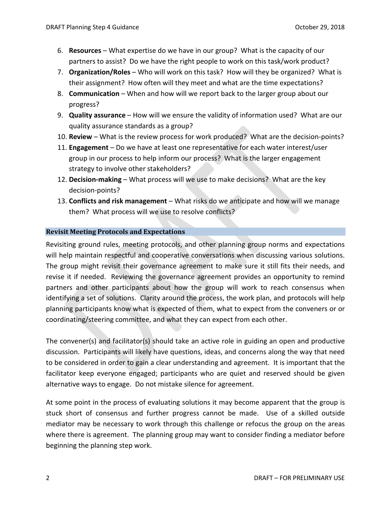- 6. **Resources** What expertise do we have in our group? What is the capacity of our partners to assist? Do we have the right people to work on this task/work product?
- 7. **Organization/Roles** Who will work on this task? How will they be organized? What is their assignment? How often will they meet and what are the time expectations?
- 8. **Communication** When and how will we report back to the larger group about our progress?
- 9. **Quality assurance** How will we ensure the validity of information used? What are our quality assurance standards as a group?
- 10. **Review** What is the review process for work produced? What are the decision-points?
- 11. **Engagement** Do we have at least one representative for each water interest/user group in our process to help inform our process? What is the larger engagement strategy to involve other stakeholders?
- 12. **Decision-making** What process will we use to make decisions? What are the key decision-points?
- 13. **Conflicts and risk management** What risks do we anticipate and how will we manage them? What process will we use to resolve conflicts?

#### <span id="page-7-0"></span>**Revisit Meeting Protocols and Expectations**

Revisiting ground rules, meeting protocols, and other planning group norms and expectations will help maintain respectful and cooperative conversations when discussing various solutions. The group might revisit their governance agreement to make sure it still fits their needs, and revise it if needed. Reviewing the governance agreement provides an opportunity to remind partners and other participants about how the group will work to reach consensus when identifying a set of solutions. Clarity around the process, the work plan, and protocols will help planning participants know what is expected of them, what to expect from the conveners or or coordinating/steering committee, and what they can expect from each other.

The convener(s) and facilitator(s) should take an active role in guiding an open and productive discussion. Participants will likely have questions, ideas, and concerns along the way that need to be considered in order to gain a clear understanding and agreement. It is important that the facilitator keep everyone engaged; participants who are quiet and reserved should be given alternative ways to engage. Do not mistake silence for agreement.

At some point in the process of evaluating solutions it may become apparent that the group is stuck short of consensus and further progress cannot be made. Use of a skilled outside mediator may be necessary to work through this challenge or refocus the group on the areas where there is agreement. The planning group may want to consider finding a mediator before beginning the planning step work.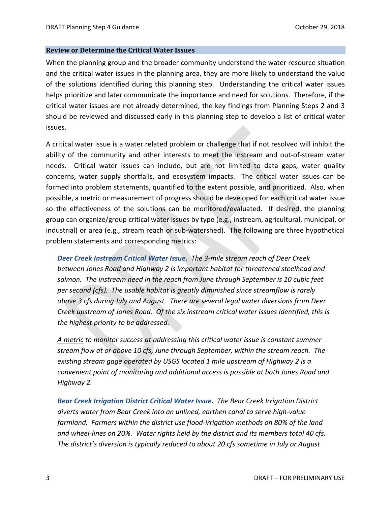#### <span id="page-8-0"></span>**Review or Determine the Critical Water Issues**

When the planning group and the broader community understand the water resource situation and the critical water issues in the planning area, they are more likely to understand the value of the solutions identified during this planning step. Understanding the critical water issues helps prioritize and later communicate the importance and need for solutions. Therefore, if the critical water issues are not already determined, the key findings from Planning Steps 2 and 3 should be reviewed and discussed early in this planning step to develop a list of critical water issues.

A critical water issue is a water related problem or challenge that if not resolved will inhibit the ability of the community and other interests to meet the instream and out-of-stream water needs. Critical water issues can include, but are not limited to data gaps, water quality concerns, water supply shortfalls, and ecosystem impacts. The critical water issues can be formed into problem statements, quantified to the extent possible, and prioritized. Also, when possible, a metric or measurement of progress should be developed for each critical water issue so the effectiveness of the solutions can be monitored/evaluated. If desired, the planning group can organize/group critical water issues by type (e.g., instream, agricultural, municipal, or industrial) or area (e.g., stream reach or sub-watershed). The following are three hypothetical problem statements and corresponding metrics:

*Deer Creek Instream Critical Water Issue. The 3-mile stream reach of Deer Creek between Jones Road and Highway 2 is important habitat for threatened steelhead and salmon. The instream need in the reach from June through September is 10 cubic feet per second (cfs). The usable habitat is greatly diminished since streamflow is rarely above 3 cfs during July and August. There are several legal water diversions from Deer Creek upstream of Jones Road. Of the six instream critical water issues identified, this is the highest priority to be addressed.* 

*A metric to monitor success at addressing this critical water issue is constant summer stream flow at or above 10 cfs, June through September, within the stream reach. The existing stream gage operated by USGS located 1 mile upstream of Highway 2 is a convenient point of monitoring and additional access is possible at both Jones Road and Highway 2.*

*Bear Creek Irrigation District Critical Water Issue. The Bear Creek Irrigation District diverts water from Bear Creek into an unlined, earthen canal to serve high-value farmland. Farmers within the district use flood-irrigation methods on 80% of the land and wheel-lines on 20%. Water rights held by the district and its members total 40 cfs. The district's diversion is typically reduced to about 20 cfs sometime in July or August*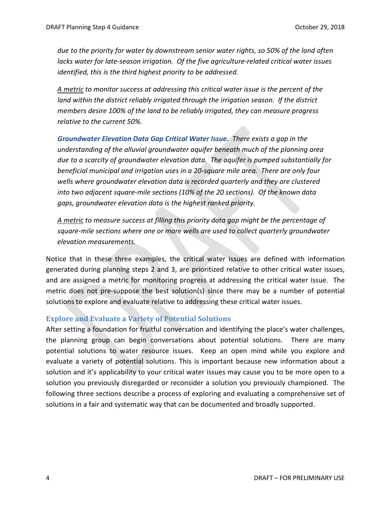*due to the priority for water by downstream senior water rights, so 50% of the land often lacks water for late-season irrigation. Of the five agriculture-related critical water issues identified, this is the third highest priority to be addressed.*

*A metric to monitor success at addressing this critical water issue is the percent of the land within the district reliably irrigated through the irrigation season. If the district members desire 100% of the land to be reliably irrigated, they can measure progress relative to the current 50%.* 

*Groundwater Elevation Data Gap Critical Water Issue. There exists a gap in the understanding of the alluvial groundwater aquifer beneath much of the planning area due to a scarcity of groundwater elevation data. The aquifer is pumped substantially for beneficial municipal and irrigation uses in a 20-square mile area. There are only four wells where groundwater elevation data is recorded quarterly and they are clustered into two adjacent square-mile sections (10% of the 20 sections). Of the known data gaps, groundwater elevation data is the highest ranked priority.*

*A metric to measure success at filling this priority data gap might be the percentage of square-mile sections where one or more wells are used to collect quarterly groundwater elevation measurements.* 

Notice that in these three examples, the critical water issues are defined with information generated during planning steps 2 and 3, are prioritized relative to other critical water issues, and are assigned a metric for monitoring progress at addressing the critical water issue. The metric does not pre-suppose the best solution(s) since there may be a number of potential solutions to explore and evaluate relative to addressing these critical water issues.

## <span id="page-9-0"></span>**Explore and Evaluate a Variety of Potential Solutions**

After setting a foundation for fruitful conversation and identifying the place's water challenges, the planning group can begin conversations about potential solutions. There are many potential solutions to water resource issues. Keep an open mind while you explore and evaluate a variety of potential solutions. This is important because new information about a solution and it's applicability to your critical water issues may cause you to be more open to a solution you previously disregarded or reconsider a solution you previously championed. The following three sections describe a process of exploring and evaluating a comprehensive set of solutions in a fair and systematic way that can be documented and broadly supported.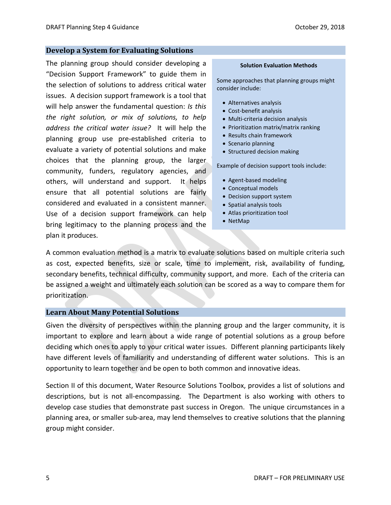#### <span id="page-10-0"></span>**Develop a System for Evaluating Solutions**

The planning group should consider developing a "Decision Support Framework" to guide them in the selection of solutions to address critical water issues. A decision support framework is a tool that will help answer the fundamental question: *Is this the right solution, or mix of solutions, to help address the critical water issue?* It will help the planning group use pre-established criteria to evaluate a variety of potential solutions and make choices that the planning group, the larger community, funders, regulatory agencies, and others, will understand and support. It helps ensure that all potential solutions are fairly considered and evaluated in a consistent manner. Use of a decision support framework can help bring legitimacy to the planning process and the plan it produces.

#### **Solution Evaluation Methods**

Some approaches that planning groups might consider include:

- Alternatives analysis
- Cost-benefit analysis
- Multi-criteria decision analysis
- Prioritization matrix/matrix ranking
- Results chain framework
- Scenario planning
- Structured decision making

Example of decision support tools include:

- Agent-based modeling
- Conceptual models
- Decision support system
- Spatial analysis tools
- Atlas prioritization tool
- NetMap

A common evaluation method is a matrix to evaluate solutions based on multiple criteria such as cost, expected benefits, size or scale, time to implement, risk, availability of funding, secondary benefits, technical difficulty, community support, and more. Each of the criteria can be assigned a weight and ultimately each solution can be scored as a way to compare them for prioritization.

#### <span id="page-10-1"></span>**Learn About Many Potential Solutions**

Given the diversity of perspectives within the planning group and the larger community, it is important to explore and learn about a wide range of potential solutions as a group before deciding which ones to apply to your critical water issues. Different planning participants likely have different levels of familiarity and understanding of different water solutions. This is an opportunity to learn together and be open to both common and innovative ideas.

Section II of this document, Water Resource Solutions Toolbox, provides a list of solutions and descriptions, but is not all-encompassing. The Department is also working with others to develop case studies that demonstrate past success in Oregon. The unique circumstances in a planning area, or smaller sub-area, may lend themselves to creative solutions that the planning group might consider.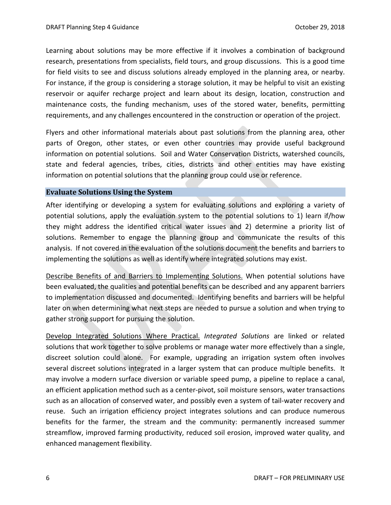Learning about solutions may be more effective if it involves a combination of background research, presentations from specialists, field tours, and group discussions. This is a good time for field visits to see and discuss solutions already employed in the planning area, or nearby. For instance, if the group is considering a storage solution, it may be helpful to visit an existing reservoir or aquifer recharge project and learn about its design, location, construction and maintenance costs, the funding mechanism, uses of the stored water, benefits, permitting requirements, and any challenges encountered in the construction or operation of the project.

Flyers and other informational materials about past solutions from the planning area, other parts of Oregon, other states, or even other countries may provide useful background information on potential solutions. Soil and Water Conservation Districts, watershed councils, state and federal agencies, tribes, cities, districts and other entities may have existing information on potential solutions that the planning group could use or reference.

## <span id="page-11-0"></span>**Evaluate Solutions Using the System**

After identifying or developing a system for evaluating solutions and exploring a variety of potential solutions, apply the evaluation system to the potential solutions to 1) learn if/how they might address the identified critical water issues and 2) determine a priority list of solutions. Remember to engage the planning group and communicate the results of this analysis. If not covered in the evaluation of the solutions document the benefits and barriers to implementing the solutions as well as identify where integrated solutions may exist.

Describe Benefits of and Barriers to Implementing Solutions. When potential solutions have been evaluated, the qualities and potential benefits can be described and any apparent barriers to implementation discussed and documented. Identifying benefits and barriers will be helpful later on when determining what next steps are needed to pursue a solution and when trying to gather strong support for pursuing the solution.

Develop Integrated Solutions Where Practical. *Integrated Solutions* are linked or related solutions that work together to solve problems or manage water more effectively than a single, discreet solution could alone. For example, upgrading an irrigation system often involves several discreet solutions integrated in a larger system that can produce multiple benefits. It may involve a modern surface diversion or variable speed pump, a pipeline to replace a canal, an efficient application method such as a center-pivot, soil moisture sensors, water transactions such as an allocation of conserved water, and possibly even a system of tail-water recovery and reuse. Such an irrigation efficiency project integrates solutions and can produce numerous benefits for the farmer, the stream and the community: permanently increased summer streamflow, improved farming productivity, reduced soil erosion, improved water quality, and enhanced management flexibility.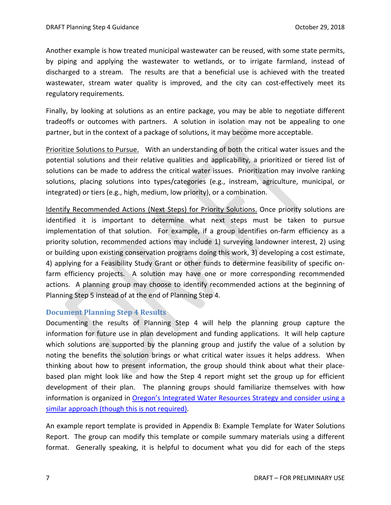Another example is how treated municipal wastewater can be reused, with some state permits, by piping and applying the wastewater to wetlands, or to irrigate farmland, instead of discharged to a stream. The results are that a beneficial use is achieved with the treated wastewater, stream water quality is improved, and the city can cost-effectively meet its regulatory requirements.

Finally, by looking at solutions as an entire package, you may be able to negotiate different tradeoffs or outcomes with partners. A solution in isolation may not be appealing to one partner, but in the context of a package of solutions, it may become more acceptable.

Prioritize Solutions to Pursue. With an understanding of both the critical water issues and the potential solutions and their relative qualities and applicability, a prioritized or tiered list of solutions can be made to address the critical water issues. Prioritization may involve ranking solutions, placing solutions into types/categories (e.g., instream, agriculture, municipal, or integrated) or tiers (e.g., high, medium, low priority), or a combination.

Identify Recommended Actions (Next Steps) for Priority Solutions. Once priority solutions are identified it is important to determine what next steps must be taken to pursue implementation of that solution. For example, if a group identifies on-farm efficiency as a priority solution, recommended actions may include 1) surveying landowner interest, 2) using or building upon existing conservation programs doing this work, 3) developing a cost estimate, 4) applying for a Feasibility Study Grant or other funds to determine feasibility of specific onfarm efficiency projects. A solution may have one or more corresponding recommended actions. A planning group may choose to identify recommended actions at the beginning of Planning Step 5 instead of at the end of Planning Step 4.

## <span id="page-12-0"></span>**Document Planning Step 4 Results**

Documenting the results of Planning Step 4 will help the planning group capture the information for future use in plan development and funding applications. It will help capture which solutions are supported by the planning group and justify the value of a solution by noting the benefits the solution brings or what critical water issues it helps address. When thinking about how to present information, the group should think about what their placebased plan might look like and how the Step 4 report might set the group up for efficient development of their plan. The planning groups should familiarize themselves with how information is organized in [Oregon's Integrated Water Resources Strategy](https://www.oregon.gov/OWRD/programs/Planning/IWRS/Pages/default.aspx) and consider using a similar approach (though this is not required).

An example report template is provided in Appendix B: Example Template for Water Solutions Report. The group can modify this template or compile summary materials using a different format. Generally speaking, it is helpful to document what you did for each of the steps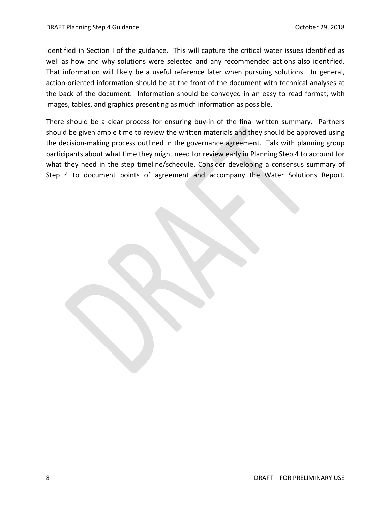identified in Section I of the guidance. This will capture the critical water issues identified as well as how and why solutions were selected and any recommended actions also identified. That information will likely be a useful reference later when pursuing solutions. In general, action-oriented information should be at the front of the document with technical analyses at the back of the document. Information should be conveyed in an easy to read format, with images, tables, and graphics presenting as much information as possible.

There should be a clear process for ensuring buy-in of the final written summary. Partners should be given ample time to review the written materials and they should be approved using the decision-making process outlined in the governance agreement. Talk with planning group participants about what time they might need for review early in Planning Step 4 to account for what they need in the step timeline/schedule. Consider developing a consensus summary of Step 4 to document points of agreement and accompany the Water Solutions Report.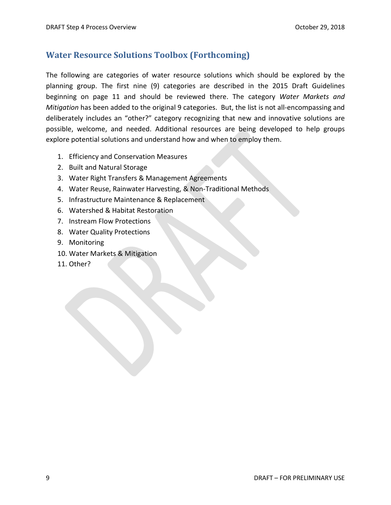# <span id="page-14-0"></span>**Water Resource Solutions Toolbox (Forthcoming)**

The following are categories of water resource solutions which should be explored by the planning group. The first nine (9) categories are described in the 2015 Draft Guidelines beginning on page 11 and should be reviewed there. The category *Water Markets and Mitigation* has been added to the original 9 categories. But, the list is not all-encompassing and deliberately includes an "other?" category recognizing that new and innovative solutions are possible, welcome, and needed. Additional resources are being developed to help groups explore potential solutions and understand how and when to employ them.

- 1. Efficiency and Conservation Measures
- 2. Built and Natural Storage
- 3. Water Right Transfers & Management Agreements
- 4. Water Reuse, Rainwater Harvesting, & Non-Traditional Methods
- 5. Infrastructure Maintenance & Replacement
- 6. Watershed & Habitat Restoration
- 7. Instream Flow Protections
- 8. Water Quality Protections
- 9. Monitoring
- 10. Water Markets & Mitigation
- 11. Other?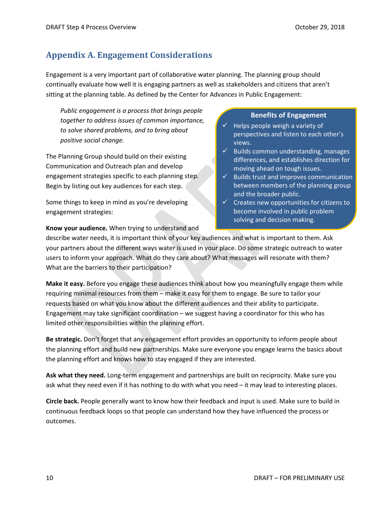# <span id="page-15-0"></span>**Appendix A. Engagement Considerations**

Engagement is a very important part of collaborative water planning. The planning group should continually evaluate how well it is engaging partners as well as stakeholders and citizens that aren't sitting at the planning table. As defined by the Center for Advances in Public Engagement:

*Public engagement is a process that brings people together to address issues of common importance, to solve shared problems, and to bring about positive social change.*

The Planning Group should build on their existing Communication and Outreach plan and develop engagement strategies specific to each planning step. Begin by listing out key audiences for each step.

Some things to keep in mind as you're developing engagement strategies:

**Know your audience.** When trying to understand and

#### **Benefits of Engagement**

- $\checkmark$  Helps people weigh a variety of perspectives and listen to each other's views.
- $\checkmark$  Builds common understanding, manages differences, and establishes direction for moving ahead on tough issues.
- $\checkmark$  Builds trust and improves communication between members of the planning group and the broader public.
- $\checkmark$  Creates new opportunities for citizens to become involved in public problem solving and decision making.

describe water needs, it is important think of your key audiences and what is important to them. Ask your partners about the different ways water is used in your place. Do some strategic outreach to water users to inform your approach. What do they care about? What messages will resonate with them? What are the barriers to their participation?

**Make it easy.** Before you engage these audiences think about how you meaningfully engage them while requiring minimal resources from them – make it easy for them to engage. Be sure to tailor your requests based on what you know about the different audiences and their ability to participate. Engagement may take significant coordination – we suggest having a coordinator for this who has limited other responsibilities within the planning effort.

**Be strategic.** Don't forget that any engagement effort provides an opportunity to inform people about the planning effort and build new partnerships. Make sure everyone you engage learns the basics about the planning effort and knows how to stay engaged if they are interested.

**Ask what they need.** Long-term engagement and partnerships are built on reciprocity. Make sure you ask what they need even if it has nothing to do with what you need – it may lead to interesting places.

**Circle back.** People generally want to know how their feedback and input is used. Make sure to build in continuous feedback loops so that people can understand how they have influenced the process or outcomes.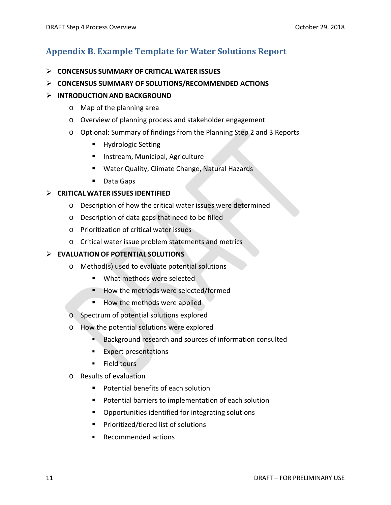# <span id="page-16-0"></span>**Appendix B. Example Template for Water Solutions Report**

- **CONCENSUS SUMMARY OF CRITICAL WATER ISSUES**
- **CONCENSUS SUMMARY OF SOLUTIONS/RECOMMENDED ACTIONS**

#### **INTRODUCTION AND BACKGROUND**

- o Map of the planning area
- o Overview of planning process and stakeholder engagement
- o Optional: Summary of findings from the Planning Step 2 and 3 Reports
	- **Hydrologic Setting**
	- **Instream, Municipal, Agriculture**
	- **Water Quality, Climate Change, Natural Hazards**
	- Data Gaps

## **CRITICAL WATER ISSUES IDENTIFIED**

- o Description of how the critical water issues were determined
- o Description of data gaps that need to be filled
- o Prioritization of critical water issues
- o Critical water issue problem statements and metrics

### **EVALUATION OF POTENTIAL SOLUTIONS**

- o Method(s) used to evaluate potential solutions
	- **What methods were selected**
	- How the methods were selected/formed
	- $\blacksquare$  How the methods were applied
- o Spectrum of potential solutions explored
- o How the potential solutions were explored
	- **Background research and sources of information consulted**
	- **Expert presentations**
	- $F_i$ Field tours
- o Results of evaluation
	- Potential benefits of each solution
	- **Potential barriers to implementation of each solution**
	- Opportunities identified for integrating solutions
	- Prioritized/tiered list of solutions
	- Recommended actions